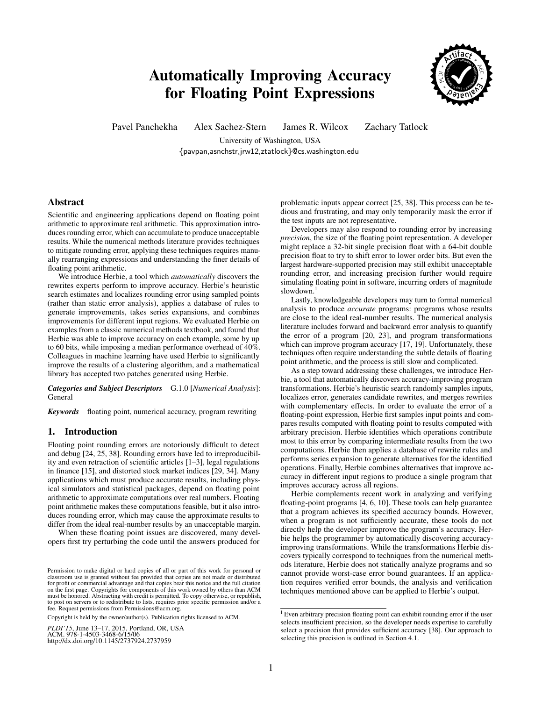# Automatically Improving Accuracy for Floating Point Expressions



Pavel Panchekha Alex Sachez-Stern James R. Wilcox Zachary Tatlock

University of Washington, USA {pavpan,asnchstr,jrw12,ztatlock}@cs.washington.edu

## Abstract

Scientific and engineering applications depend on floating point arithmetic to approximate real arithmetic. This approximation introduces rounding error, which can accumulate to produce unacceptable results. While the numerical methods literature provides techniques to mitigate rounding error, applying these techniques requires manually rearranging expressions and understanding the finer details of floating point arithmetic.

We introduce Herbie, a tool which *automatically* discovers the rewrites experts perform to improve accuracy. Herbie's heuristic search estimates and localizes rounding error using sampled points (rather than static error analysis), applies a database of rules to generate improvements, takes series expansions, and combines improvements for different input regions. We evaluated Herbie on examples from a classic numerical methods textbook, and found that Herbie was able to improve accuracy on each example, some by up to 60 bits, while imposing a median performance overhead of 40%. Colleagues in machine learning have used Herbie to significantly improve the results of a clustering algorithm, and a mathematical library has accepted two patches generated using Herbie.

*Categories and Subject Descriptors* G.1.0 [*Numerical Analysis*]: General

*Keywords* floating point, numerical accuracy, program rewriting

## 1. Introduction

Floating point rounding errors are notoriously difficult to detect and debug [\[24,](#page-10-0) [25,](#page-10-1) [38\]](#page-10-2). Rounding errors have led to irreproducibility and even retraction of scientific articles [\[1–](#page-9-0)[3\]](#page-9-1), legal regulations in finance [\[15\]](#page-10-3), and distorted stock market indices [\[29,](#page-10-4) [34\]](#page-10-5). Many applications which must produce accurate results, including physical simulators and statistical packages, depend on floating point arithmetic to approximate computations over real numbers. Floating point arithmetic makes these computations feasible, but it also introduces rounding error, which may cause the approximate results to differ from the ideal real-number results by an unacceptable margin.

When these floating point issues are discovered, many developers first try perturbing the code until the answers produced for

Copyright is held by the owner/author(s). Publication rights licensed to ACM.

*PLDI'15*, June 13–17, 2015, Portland, OR, USA<br>ACM. 978-1-4503-3468-6/15/06 ACM. 978-1-4505-5408-0/13/00<br>http://dx.doi.org/10.1145/2737924.2737959

problematic inputs appear correct [\[25,](#page-10-1) [38\]](#page-10-2). This process can be tedious and frustrating, and may only temporarily mask the error if the test inputs are not representative.

Developers may also respond to rounding error by increasing *precision*, the size of the floating point representation. A developer might replace a 32-bit single precision float with a 64-bit double precision float to try to shift error to lower order bits. But even the largest hardware-supported precision may still exhibit unacceptable rounding error, and increasing precision further would require simulating floating point in software, incurring orders of magnitude slowdown.<sup>[1](#page-0-0)</sup>

Lastly, knowledgeable developers may turn to formal numerical analysis to produce *accurate* programs: programs whose results are close to the ideal real-number results. The numerical analysis literature includes forward and backward error analysis to quantify the error of a program [\[20,](#page-10-6) [23\]](#page-10-7), and program transformations which can improve program accuracy [\[17,](#page-10-8) [19\]](#page-10-9). Unfortunately, these techniques often require understanding the subtle details of floating point arithmetic, and the process is still slow and complicated.

As a step toward addressing these challenges, we introduce Herbie, a tool that automatically discovers accuracy-improving program transformations. Herbie's heuristic search randomly samples inputs, localizes error, generates candidate rewrites, and merges rewrites with complementary effects. In order to evaluate the error of a floating-point expression, Herbie first samples input points and compares results computed with floating point to results computed with arbitrary precision. Herbie identifies which operations contribute most to this error by comparing intermediate results from the two computations. Herbie then applies a database of rewrite rules and performs series expansion to generate alternatives for the identified operations. Finally, Herbie combines alternatives that improve accuracy in different input regions to produce a single program that improves accuracy across all regions.

Herbie complements recent work in analyzing and verifying floating-point programs [\[4,](#page-9-2) [6,](#page-9-3) [10\]](#page-9-4). These tools can help guarantee that a program achieves its specified accuracy bounds. However, when a program is not sufficiently accurate, these tools do not directly help the developer improve the program's accuracy. Herbie helps the programmer by automatically discovering accuracyimproving transformations. While the transformations Herbie discovers typically correspond to techniques from the numerical methods literature, Herbie does not statically analyze programs and so cannot provide worst-case error bound guarantees. If an application requires verified error bounds, the analysis and verification techniques mentioned above can be applied to Herbie's output.

Permission to make digital or hard copies of all or part of this work for personal or Permission to make digital or hard copies of all or part of this work for personal or classroom use is granted without tee provided that copies are not made or distributed<br>for profit or commercial advantage and that copies bear this notice and the full citation<br>on the first page. Copyrights for components o must be honored. Abstracting with credit is permitted. To copy otherwise, or republish, to post on servers or to redistribute to lists, requires prior specific permission and/or a fee. Request permissions from Permissions@acm.org. classroom use is granted without fee provided that copies are not made or distributed for profit or commercial advantage and that copies bear this notice and the full citation<br>on the first page. Copyrights for components of this work owned by others than ACM<br>must be honored. Abstracting with credit is permi

<span id="page-0-0"></span><sup>&</sup>lt;sup>1</sup> Even arbitrary precision floating point can exhibit rounding error if the user selects insufficient precision, so the developer needs expertise to carefully select a precision that provides sufficient accuracy [\[38\]](#page-10-2). Our approach to selecting this precision is outlined in Section [4.1.](#page-3-0)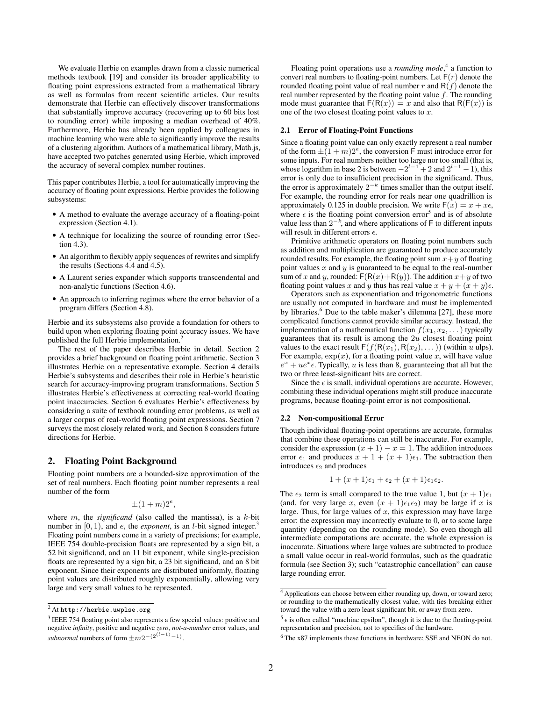We evaluate Herbie on examples drawn from a classic numerical methods textbook [\[19\]](#page-10-9) and consider its broader applicability to floating point expressions extracted from a mathematical library as well as formulas from recent scientific articles. Our results demonstrate that Herbie can effectively discover transformations that substantially improve accuracy (recovering up to 60 bits lost to rounding error) while imposing a median overhead of 40%. Furthermore, Herbie has already been applied by colleagues in machine learning who were able to significantly improve the results of a clustering algorithm. Authors of a mathematical library, Math.js, have accepted two patches generated using Herbie, which improved the accuracy of several complex number routines.

This paper contributes Herbie, a tool for automatically improving the accuracy of floating point expressions. Herbie provides the following subsystems:

- A method to evaluate the average accuracy of a floating-point expression (Section [4.1\)](#page-3-0).
- A technique for localizing the source of rounding error (Section [4.3\)](#page-4-0).
- An algorithm to flexibly apply sequences of rewrites and simplify the results (Sections [4.4](#page-4-1) and [4.5\)](#page-4-2).
- A Laurent series expander which supports transcendental and non-analytic functions (Section [4.6\)](#page-5-0).
- An approach to inferring regimes where the error behavior of a program differs (Section [4.8\)](#page-5-1).

Herbie and its subsystems also provide a foundation for others to build upon when exploring floating point accuracy issues. We have published the full Herbie implementation.<sup>[2](#page-1-0)</sup>

The rest of the paper describes Herbie in detail. Section [2](#page-1-1) provides a brief background on floating point arithmetic. Section [3](#page-2-0) illustrates Herbie on a representative example. Section [4](#page-3-1) details Herbie's subsystems and describes their role in Herbie's heuristic search for accuracy-improving program transformations. Section [5](#page-6-0) illustrates Herbie's effectiveness at correcting real-world floating point inaccuracies. Section [6](#page-6-1) evaluates Herbie's effectiveness by considering a suite of textbook rounding error problems, as well as a larger corpus of real-world floating point expressions. Section [7](#page-9-5) surveys the most closely related work, and Section [8](#page-9-6) considers future directions for Herbie.

# <span id="page-1-1"></span>2. Floating Point Background

Floating point numbers are a bounded-size approximation of the set of real numbers. Each floating point number represents a real number of the form

$$
\pm (1+m)2^e,
$$

where  $m$ , the *significand* (also called the mantissa), is a  $k$ -bit number in  $[0, 1)$ , and *e*, the *exponent*, is an *l*-bit signed integer.<sup>[3](#page-1-2)</sup> Floating point numbers come in a variety of precisions; for example, IEEE 754 double-precision floats are represented by a sign bit, a 52 bit significand, and an 11 bit exponent, while single-precision floats are represented by a sign bit, a 23 bit significand, and an 8 bit exponent. Since their exponents are distributed uniformly, floating point values are distributed roughly exponentially, allowing very large and very small values to be represented.

Floating point operations use a *rounding mode*,<sup>[4](#page-1-3)</sup> a function to convert real numbers to floating-point numbers. Let  $F(r)$  denote the rounded floating point value of real number r and  $R(f)$  denote the real number represented by the floating point value  $f$ . The rounding mode must guarantee that  $F(R(x)) = x$  and also that  $R(F(x))$  is one of the two closest floating point values to  $x$ .

## 2.1 Error of Floating-Point Functions

Since a floating point value can only exactly represent a real number of the form  $\pm (1 + m)2^e$ , the conversion F must introduce error for some inputs. For real numbers neither too large nor too small (that is, whose logarithm in base 2 is between  $-2^{l-1} + 2$  and  $2^{l-1} - 1$ ), this error is only due to insufficient precision in the significand. Thus, the error is approximately  $2^{-k}$  times smaller than the output itself. For example, the rounding error for reals near one quadrillion is approximately 0.125 in double precision. We write  $F(x) = x + x\epsilon$ , where  $\epsilon$  is the floating point conversion error<sup>[5](#page-1-4)</sup> and is of absolute value less than  $2^{-k}$ , and where applications of F to different inputs will result in different errors  $\epsilon$ .

Primitive arithmetic operators on floating point numbers such as addition and multiplication are guaranteed to produce accurately rounded results. For example, the floating point sum  $x+y$  of floating point values  $x$  and  $y$  is guaranteed to be equal to the real-number sum of x and y, rounded:  $F(R(x) + R(y))$ . The addition  $x + y$  of two floating point values x and y thus has real value  $x + y + (x + y)\epsilon$ .

Operators such as exponentiation and trigonometric functions are usually not computed in hardware and must be implemented by libraries.<sup>[6](#page-1-5)</sup> Due to the table maker's dilemma [\[27\]](#page-10-10), these more complicated functions cannot provide similar accuracy. Instead, the implementation of a mathematical function  $f(x_1, x_2, \dots)$  typically guarantees that its result is among the  $2u$  closest floating point values to the exact result  $F(f(R(x_1), R(x_2), \dots))$  (within u ulps). For example,  $\exp(x)$ , for a floating point value x, will have value  $e^x + u e^x \hat{\epsilon}$ . Typically, u is less than 8, guaranteeing that all but the two or three least-significant bits are correct.

Since the  $\epsilon$  is small, individual operations are accurate. However, combining these individual operations might still produce inaccurate programs, because floating-point error is not compositional.

## 2.2 Non-compositional Error

Though individual floating-point operations are accurate, formulas that combine these operations can still be inaccurate. For example, consider the expression  $(x + 1) - x = 1$ . The addition introduces error  $\epsilon_1$  and produces  $x + 1 + (x + 1)\epsilon_1$ . The subtraction then introduces  $\epsilon_2$  and produces

$$
1+(x+1)\epsilon_1+\epsilon_2+(x+1)\epsilon_1\epsilon_2.
$$

The  $\epsilon_2$  term is small compared to the true value 1, but  $(x + 1)\epsilon_1$ (and, for very large x, even  $(x + 1)\epsilon_1 \epsilon_2$ ) may be large if x is large. Thus, for large values of  $x$ , this expression may have large error: the expression may incorrectly evaluate to 0, or to some large quantity (depending on the rounding mode). So even though all intermediate computations are accurate, the whole expression is inaccurate. Situations where large values are subtracted to produce a small value occur in real-world formulas, such as the quadratic formula (see Section [3\)](#page-2-0); such "catastrophic cancellation" can cause large rounding error.

<span id="page-1-0"></span> $^2$  At <http://herbie.uwplse.org>  $\,$ 

<span id="page-1-2"></span><sup>&</sup>lt;sup>3</sup> IEEE 754 floating point also represents a few special values: positive and negative *infinity*, positive and negative *zero*, *not-a-number* error values, and *subnormal* numbers of form  $\pm m2^{-(2^{(l-1)}-1)}$ .

<span id="page-1-3"></span><sup>4</sup> Applications can choose between either rounding up, down, or toward zero; or rounding to the mathematically closest value, with ties breaking either toward the value with a zero least significant bit, or away from zero.

<span id="page-1-4"></span> $5\epsilon$  is often called "machine epsilon", though it is due to the floating-point representation and precision, not to specifics of the hardware.

<span id="page-1-5"></span><sup>6</sup> The x87 implements these functions in hardware; SSE and NEON do not.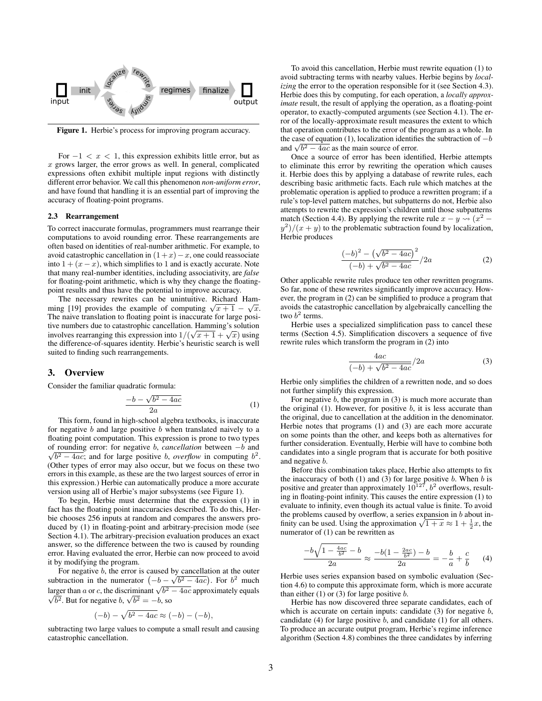

<span id="page-2-1"></span>Figure 1. Herbie's process for improving program accuracy.

For  $-1 < x < 1$ , this expression exhibits little error, but as  $x$  grows larger, the error grows as well. In general, complicated expressions often exhibit multiple input regions with distinctly different error behavior. We call this phenomenon *non-uniform error*, and have found that handling it is an essential part of improving the accuracy of floating-point programs.

#### 2.3 Rearrangement

To correct inaccurate formulas, programmers must rearrange their computations to avoid rounding error. These rearrangements are often based on identities of real-number arithmetic. For example, to avoid catastrophic cancellation in  $(1+x)-x$ , one could reassociate into  $1 + (x - x)$ , which simplifies to 1 and is exactly accurate. Note that many real-number identities, including associativity, are *false* for floating-point arithmetic, which is why they change the floatingpoint results and thus have the potential to improve accuracy.

The necessary rewrites can be unintuitive. Richard Ham-The necessary rewrites can be unintuitive. Kichard Hamming [\[19\]](#page-10-9) provides the example of computing  $\sqrt{x+1} - \sqrt{x}$ . The naive translation to floating point is inaccurate for large positive numbers due to catastrophic cancellation. Hamming's solution the numbers due to call the cancellation. Hamiling s solution<br>involves rearranging this expression into  $1/(\sqrt{x+1} + \sqrt{x})$  using the difference-of-squares identity. Herbie's heuristic search is well suited to finding such rearrangements.

## <span id="page-2-0"></span>3. Overview

Consider the familiar quadratic formula:

<span id="page-2-2"></span>
$$
\frac{-b - \sqrt{b^2 - 4ac}}{2a} \tag{1}
$$

This form, found in high-school algebra textbooks, is inaccurate for negative b and large positive b when translated naively to a floating point computation. This expression is prone to two types of rounding error: for negative √ b, *cancellation* between −b and  $\overline{b^2 - 4ac}$ ; and for large positive *b*, *overflow* in computing  $b^2$ . (Other types of error may also occur, but we focus on these two errors in this example, as these are the two largest sources of error in this expression.) Herbie can automatically produce a more accurate version using all of Herbie's major subsystems (see Figure [1\)](#page-2-1).

To begin, Herbie must determine that the expression [\(1\)](#page-2-2) in fact has the floating point inaccuracies described. To do this, Herbie chooses 256 inputs at random and compares the answers produced by [\(1\)](#page-2-2) in floating-point and arbitrary-precision mode (see Section [4.1\)](#page-3-0). The arbitrary-precision evaluation produces an exact answer, so the difference between the two is caused by rounding error. Having evaluated the error, Herbie can now proceed to avoid it by modifying the program.

For negative *b*, the error is caused by cancellation at the outer subtraction in the numerator  $(-b - \sqrt{b^2 - 4ac})$ . For  $b^2$  much Subdiaction in the numerator  $(-\delta - \sqrt{\delta^2 - 4ac})$ . For  $\delta$  much larger than  $\alpha$  or c, the discriminant  $\sqrt{\delta^2 - 4ac}$  approximately equals Larger than *a* or *c*, the discriminant  $\sqrt{b^2}$ .<br> $\sqrt{b^2}$ . But for negative *b*,  $\sqrt{b^2} = -b$ , so

$$
(-b) - \sqrt{b^2 - 4ac} \approx (-b) - (-b),
$$

subtracting two large values to compute a small result and causing catastrophic cancellation.

To avoid this cancellation, Herbie must rewrite equation [\(1\)](#page-2-2) to avoid subtracting terms with nearby values. Herbie begins by *localizing* the error to the operation responsible for it (see Section [4.3\)](#page-4-0). Herbie does this by computing, for each operation, a *locally approximate* result, the result of applying the operation, as a floating-point operator, to exactly-computed arguments (see Section [4.1\)](#page-3-0). The error of the locally-approximate result measures the extent to which that operation contributes to the error of the program as a whole. In the case of equation [\(1\)](#page-2-2), localization identifies the subtraction of  $-b$ the case of equation (1), localization identified<br>and  $\sqrt{b^2 - 4ac}$  as the main source of error.

Once a source of error has been identified, Herbie attempts to eliminate this error by rewriting the operation which causes it. Herbie does this by applying a database of rewrite rules, each describing basic arithmetic facts. Each rule which matches at the problematic operation is applied to produce a rewritten program; if a rule's top-level pattern matches, but subpatterns do not, Herbie also attempts to rewrite the expression's children until those subpatterns match (Section [4.4\)](#page-4-1). By applying the rewrite rule  $x - y \rightarrow (x^2 - y)$  $y^2$ / $(x + y)$  to the problematic subtraction found by localization, Herbie produces

<span id="page-2-3"></span>
$$
\frac{(-b)^2 - (\sqrt{b^2 - 4ac})^2}{(-b) + \sqrt{b^2 - 4ac}} / 2a
$$
 (2)

Other applicable rewrite rules produce ten other rewritten programs. So far, none of these rewrites significantly improve accuracy. However, the program in [\(2\)](#page-2-3) can be simplified to produce a program that avoids the catastrophic cancellation by algebraically cancelling the two  $b^2$  terms.

Herbie uses a specialized simplification pass to cancel these terms (Section [4.5\)](#page-4-2). Simplification discovers a sequence of five rewrite rules which transform the program in [\(2\)](#page-2-3) into

<span id="page-2-4"></span>
$$
\frac{4ac}{(-b) + \sqrt{b^2 - 4ac}}/2a\tag{3}
$$

Herbie only simplifies the children of a rewritten node, and so does not further simplify this expression.

For negative  $b$ , the program in  $(3)$  is much more accurate than the original  $(1)$ . However, for positive  $b$ , it is less accurate than the original, due to cancellation at the addition in the denominator. Herbie notes that programs [\(1\)](#page-2-2) and [\(3\)](#page-2-4) are each more accurate on some points than the other, and keeps both as alternatives for further consideration. Eventually, Herbie will have to combine both candidates into a single program that is accurate for both positive and negative b.

Before this combination takes place, Herbie also attempts to fix the inaccuracy of both  $(1)$  and  $(3)$  for large positive b. When b is positive and greater than approximately  $10^{127}$ ,  $b^2$  overflows, resulting in floating-point infinity. This causes the entire expression [\(1\)](#page-2-2) to evaluate to infinity, even though its actual value is finite. To avoid the problems caused by overflow, a series expansion in  $b$  about inthe problems caused by overnow, a series expansion in *b* about infinity can be used. Using the approximation  $\sqrt{1+x} \approx 1 + \frac{1}{2}x$ , the numerator of [\(1\)](#page-2-2) can be rewritten as

<span id="page-2-5"></span>
$$
\frac{-b\sqrt{1-\frac{4ac}{b^2}}-b}{2a} \approx \frac{-b(1-\frac{2ac}{b^2})-b}{2a} = -\frac{b}{a} + \frac{c}{b}
$$
 (4)

Herbie uses series expansion based on symbolic evaluation (Section [4.6\)](#page-5-0) to compute this approximate form, which is more accurate than either  $(1)$  or  $(3)$  for large positive b.

Herbie has now discovered three separate candidates, each of which is accurate on certain inputs: candidate  $(3)$  for negative  $b$ , candidate [\(4\)](#page-2-5) for large positive  $b$ , and candidate [\(1\)](#page-2-2) for all others. To produce an accurate output program, Herbie's regime inference algorithm (Section [4.8\)](#page-5-1) combines the three candidates by inferring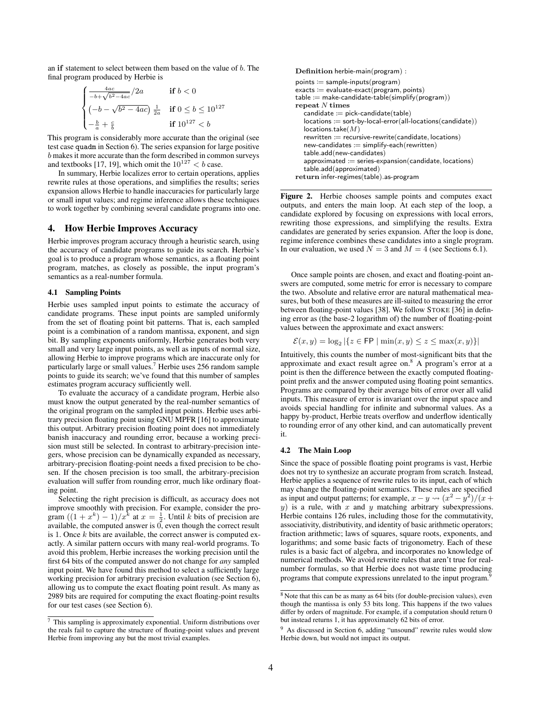an if statement to select between them based on the value of b. The final program produced by Herbie is

$$
\begin{cases} \frac{4ac}{-b+\sqrt{b^2-4ac}}/2a & \text{if } b < 0\\ (-b-\sqrt{b^2-4ac}) \frac{1}{2a} & \text{if } 0 \le b \le 10^{127} \\ -\frac{b}{a} + \frac{c}{b} & \text{if } 10^{127} < b \end{cases}
$$

This program is considerably more accurate than the original (see test case quadm in Section [6\)](#page-6-1). The series expansion for large positive b makes it more accurate than the form described in common surveys and textbooks [\[17,](#page-10-8) [19\]](#page-10-9), which omit the  $10^{127} < b$  case.

In summary, Herbie localizes error to certain operations, applies rewrite rules at those operations, and simplifies the results; series expansion allows Herbie to handle inaccuracies for particularly large or small input values; and regime inference allows these techniques to work together by combining several candidate programs into one.

## <span id="page-3-1"></span>4. How Herbie Improves Accuracy

Herbie improves program accuracy through a heuristic search, using the accuracy of candidate programs to guide its search. Herbie's goal is to produce a program whose semantics, as a floating point program, matches, as closely as possible, the input program's semantics as a real-number formula.

## <span id="page-3-0"></span>4.1 Sampling Points

Herbie uses sampled input points to estimate the accuracy of candidate programs. These input points are sampled uniformly from the set of floating point bit patterns. That is, each sampled point is a combination of a random mantissa, exponent, and sign bit. By sampling exponents uniformly, Herbie generates both very small and very large input points, as well as inputs of normal size, allowing Herbie to improve programs which are inaccurate only for particularly large or small values.[7](#page-3-2) Herbie uses 256 random sample points to guide its search; we've found that this number of samples estimates program accuracy sufficiently well.

To evaluate the accuracy of a candidate program, Herbie also must know the output generated by the real-number semantics of the original program on the sampled input points. Herbie uses arbitrary precision floating point using GNU MPFR [\[16\]](#page-10-11) to approximate this output. Arbitrary precision floating point does not immediately banish inaccuracy and rounding error, because a working precision must still be selected. In contrast to arbitrary-precision integers, whose precision can be dynamically expanded as necessary, arbitrary-precision floating-point needs a fixed precision to be chosen. If the chosen precision is too small, the arbitrary-precision evaluation will suffer from rounding error, much like ordinary floating point.

Selecting the right precision is difficult, as accuracy does not improve smoothly with precision. For example, consider the program  $((1 + x^k) - 1)/x^k$  at  $x = \frac{1}{2}$ . Until k bits of precision are available, the computed answer is  $\vec{0}$ , even though the correct result is 1. Once  $k$  bits are available, the correct answer is computed exactly. A similar pattern occurs with many real-world programs. To avoid this problem, Herbie increases the working precision until the first 64 bits of the computed answer do not change for *any* sampled input point. We have found this method to select a sufficiently large working precision for arbitrary precision evaluation (see Section [6\)](#page-6-1), allowing us to compute the exact floating point result. As many as 2989 bits are required for computing the exact floating-point results for our test cases (see Section [6\)](#page-6-1).

Definition herbie-main(program) :  $points := sample-inputs(program)$ exacts := evaluate-exact(program, points) table := make-candidate-table(simplify(program)) repeat N times  $c$ andidate  $:=$  pick-candidate $(table)$ locations := sort-by-local-error(all-locations(candidate))  $locations.<sub>take</sub>(M)$  $rewritten := recursive-rewrite(candidate, locations)$  $new-candidates := simplify-each(rewritten)$ table.add(new-candidates)  $approximated := series-expanion(candidate, locations)$ table.add(approximated) return infer-regimes(table).as-program

Figure 2. Herbie chooses sample points and computes exact outputs, and enters the main loop. At each step of the loop, a candidate explored by focusing on expressions with local errors, rewriting those expressions, and simplifying the results. Extra candidates are generated by series expansion. After the loop is done, regime inference combines these candidates into a single program. In our evaluation, we used  $N = 3$  and  $M = 4$  (see Sections [6.1\)](#page-7-0).

Once sample points are chosen, and exact and floating-point answers are computed, some metric for error is necessary to compare the two. Absolute and relative error are natural mathematical measures, but both of these measures are ill-suited to measuring the error between floating-point values [\[38\]](#page-10-2). We follow STOKE [\[36\]](#page-10-12) in defining error as (the base-2 logarithm of) the number of floating-point values between the approximate and exact answers:

$$
\mathcal{E}(x, y) = \log_2 |\{ z \in \mathsf{FP} \mid \min(x, y) \leq z \leq \max(x, y) \}|
$$

Intuitively, this counts the number of most-significant bits that the approximate and exact result agree on.[8](#page-3-3) A program's error at a point is then the difference between the exactly computed floatingpoint prefix and the answer computed using floating point semantics. Programs are compared by their average bits of error over all valid inputs. This measure of error is invariant over the input space and avoids special handling for infinite and subnormal values. As a happy by-product, Herbie treats overflow and underflow identically to rounding error of any other kind, and can automatically prevent it.

#### 4.2 The Main Loop

Since the space of possible floating point programs is vast, Herbie does not try to synthesize an accurate program from scratch. Instead, Herbie applies a sequence of rewrite rules to its input, each of which may change the floating-point semantics. These rules are specified as input and output patterns; for example,  $x - y \leadsto (x^2 - y^2)/(x +$  $y$ ) is a rule, with x and y matching arbitrary subexpressions. Herbie contains 126 rules, including those for the commutativity, associativity, distributivity, and identity of basic arithmetic operators; fraction arithmetic; laws of squares, square roots, exponents, and logarithms; and some basic facts of trigonometry. Each of these rules is a basic fact of algebra, and incorporates no knowledge of numerical methods. We avoid rewrite rules that aren't true for realnumber formulas, so that Herbie does not waste time producing programs that compute expressions unrelated to the input program.[9](#page-3-4)

<span id="page-3-2"></span><sup>7</sup> This sampling is approximately exponential. Uniform distributions over the reals fail to capture the structure of floating-point values and prevent Herbie from improving any but the most trivial examples.

<span id="page-3-3"></span><sup>8</sup> Note that this can be as many as 64 bits (for double-precision values), even though the mantissa is only 53 bits long. This happens if the two values differ by orders of magnitude. For example, if a computation should return 0 but instead returns 1, it has approximately 62 bits of error.

<span id="page-3-4"></span><sup>9</sup> As discussed in Section [6,](#page-6-1) adding "unsound" rewrite rules would slow Herbie down, but would not impact its output.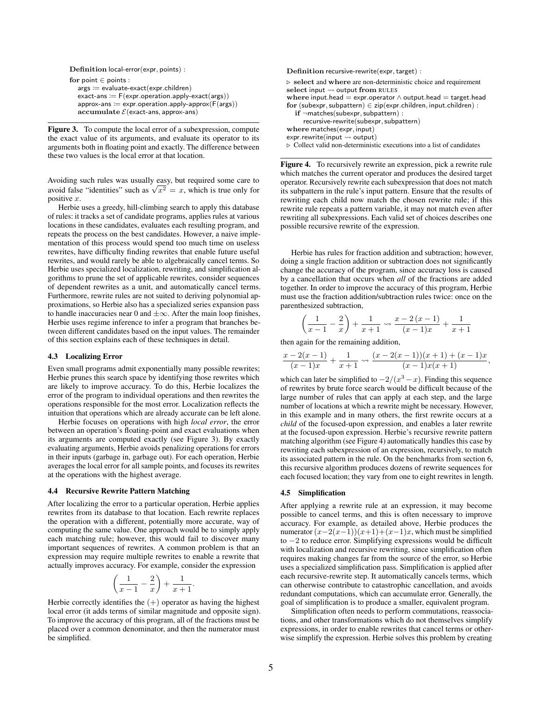```
Definition local-error(expr, points) :
for point \in points :
   args := evaluate-exact(expr.children)
   exact-ans := F(exp.cperation.appendy-exact(args))approx-ans := expr.openation.appendy-approx(F(args))\textbf{accumulate} \ \mathcal{E}(\textbf{exact-ans}, \textbf{approx-ans})
```
<span id="page-4-3"></span>Figure 3. To compute the local error of a subexpression, compute the exact value of its arguments, and evaluate its operator to its arguments both in floating point and exactly. The difference between these two values is the local error at that location.

Avoiding such rules was usually easy, but required some care to Avoiding such rules was usually easy, but required some care to avoid false "identities" such as  $\sqrt{x^2} = x$ , which is true only for positive x.

Herbie uses a greedy, hill-climbing search to apply this database of rules: it tracks a set of candidate programs, applies rules at various locations in these candidates, evaluates each resulting program, and repeats the process on the best candidates. However, a naive implementation of this process would spend too much time on useless rewrites, have difficulty finding rewrites that enable future useful rewrites, and would rarely be able to algebraically cancel terms. So Herbie uses specialized localization, rewriting, and simplification algorithms to prune the set of applicable rewrites, consider sequences of dependent rewrites as a unit, and automatically cancel terms. Furthermore, rewrite rules are not suited to deriving polynomial approximations, so Herbie also has a specialized series expansion pass to handle inaccuracies near 0 and  $\pm \infty$ . After the main loop finishes, Herbie uses regime inference to infer a program that branches between different candidates based on the input values. The remainder of this section explains each of these techniques in detail.

#### <span id="page-4-0"></span>4.3 Localizing Error

Even small programs admit exponentially many possible rewrites; Herbie prunes this search space by identifying those rewrites which are likely to improve accuracy. To do this, Herbie localizes the error of the program to individual operations and then rewrites the operations responsible for the most error. Localization reflects the intuition that operations which are already accurate can be left alone.

Herbie focuses on operations with high *local error*, the error between an operation's floating-point and exact evaluations when its arguments are computed exactly (see Figure [3\)](#page-4-3). By exactly evaluating arguments, Herbie avoids penalizing operations for errors in their inputs (garbage in, garbage out). For each operation, Herbie averages the local error for all sample points, and focuses its rewrites at the operations with the highest average.

## <span id="page-4-1"></span>4.4 Recursive Rewrite Pattern Matching

After localizing the error to a particular operation, Herbie applies rewrites from its database to that location. Each rewrite replaces the operation with a different, potentially more accurate, way of computing the same value. One approach would be to simply apply each matching rule; however, this would fail to discover many important sequences of rewrites. A common problem is that an expression may require multiple rewrites to enable a rewrite that actually improves accuracy. For example, consider the expression

$$
\left(\frac{1}{x-1} - \frac{2}{x}\right) + \frac{1}{x+1}
$$

.

Herbie correctly identifies the  $(+)$  operator as having the highest local error (it adds terms of similar magnitude and opposite sign). To improve the accuracy of this program, all of the fractions must be placed over a common denominator, and then the numerator must be simplified.

Definition recursive-rewrite(expr, target) :

 $\rhd$  select and where are non-deterministic choice and requirement select input  $\rightsquigarrow$  output from RULES where input.head  $=$  expr.operator  $\wedge$  output.head  $=$  target.head for  $(subexpr, subpattern) \in zip(exp.childen, input.childen)$ :  $if$   $\neg$ matches(subexpr, subpattern) : recursive-rewrite(subexpr, subpattern) where matches(expr, input)  $expr.$ rewrite(input  $\rightsquigarrow$  output)  $\triangleright$  Collect valid non-deterministic executions into a list of candidates

<span id="page-4-4"></span>Figure 4. To recursively rewrite an expression, pick a rewrite rule which matches the current operator and produces the desired target operator. Recursively rewrite each subexpression that does not match its subpattern in the rule's input pattern. Ensure that the results of rewriting each child now match the chosen rewrite rule; if this rewrite rule repeats a pattern variable, it may not match even after rewriting all subexpressions. Each valid set of choices describes one possible recursive rewrite of the expression.

Herbie has rules for fraction addition and subtraction; however, doing a single fraction addition or subtraction does not significantly change the accuracy of the program, since accuracy loss is caused by a cancellation that occurs when *all* of the fractions are added together. In order to improve the accuracy of this program, Herbie must use the fraction addition/subtraction rules twice: once on the parenthesized subtraction,

$$
\left(\frac{1}{x-1} - \frac{2}{x}\right) + \frac{1}{x+1} \rightsquigarrow \frac{x-2(x-1)}{(x-1)x} + \frac{1}{x+1}
$$

then again for the remaining addition,

$$
\frac{x-2(x-1)}{(x-1)x} + \frac{1}{x+1} \rightsquigarrow \frac{(x-2(x-1))(x+1) + (x-1)x}{(x-1)x(x+1)},
$$

which can later be simplified to  $-2/(x^3 - x)$ . Finding this sequence of rewrites by brute force search would be difficult because of the large number of rules that can apply at each step, and the large number of locations at which a rewrite might be necessary. However, in this example and in many others, the first rewrite occurs at a *child* of the focused-upon expression, and enables a later rewrite at the focused-upon expression. Herbie's recursive rewrite pattern matching algorithm (see Figure [4\)](#page-4-4) automatically handles this case by rewriting each subexpression of an expression, recursively, to match its associated pattern in the rule. On the benchmarks from section [6,](#page-6-1) this recursive algorithm produces dozens of rewrite sequences for each focused location; they vary from one to eight rewrites in length.

#### <span id="page-4-2"></span>4.5 Simplification

After applying a rewrite rule at an expression, it may become possible to cancel terms, and this is often necessary to improve accuracy. For example, as detailed above, Herbie produces the numerator $(x-2(x-1))(x+1)+(x-1)x$ , which must be simplified to −2 to reduce error. Simplifying expressions would be difficult with localization and recursive rewriting, since simplification often requires making changes far from the source of the error, so Herbie uses a specialized simplification pass. Simplification is applied after each recursive-rewrite step. It automatically cancels terms, which can otherwise contribute to catastrophic cancellation, and avoids redundant computations, which can accumulate error. Generally, the goal of simplification is to produce a smaller, equivalent program.

Simplification often needs to perform commutations, reassociations, and other transformations which do not themselves simplify expressions, in order to enable rewrites that cancel terms or otherwise simplify the expression. Herbie solves this problem by creating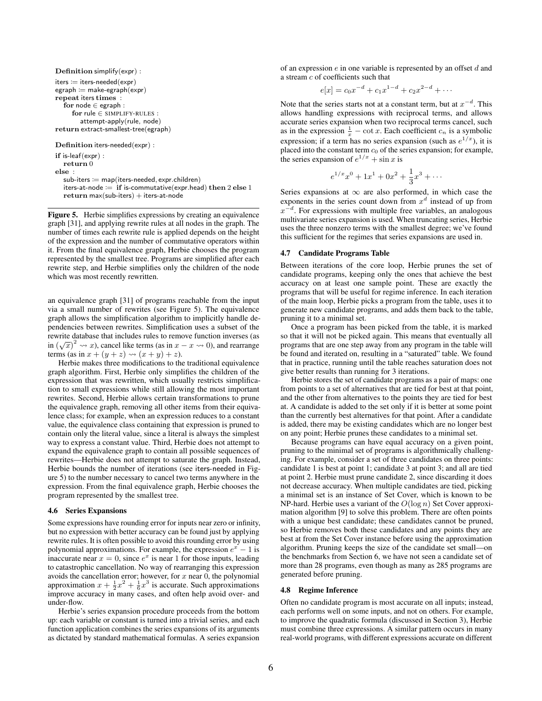```
Definition simplify(expr) :
iters := iters-neded(exp)\mathsf{egraph} := \mathsf{make}\text{-}\mathsf{egraph}(\mathsf{expr})repeat iters times :
   for node ∈ egraph :
      for rule ∈ SIMPLIFY-RULES :
         attempt-apply(rule, node)
return extract-smallest-tree(egraph)
Definition iters-needed(expr) :
```
if is-leaf(expr) : return 0 else :  $sub-iters := map(iters-neded, expr.children)$ iters-at-node := if is-commutative(expr.head) then 2 else 1  $return max(sub-iters) + its-act-node$ 

<span id="page-5-2"></span>Figure 5. Herbie simplifies expressions by creating an equivalence graph [\[31\]](#page-10-13), and applying rewrite rules at all nodes in the graph. The number of times each rewrite rule is applied depends on the height of the expression and the number of commutative operators within it. From the final equivalence graph, Herbie chooses the program represented by the smallest tree. Programs are simplified after each rewrite step, and Herbie simplifies only the children of the node which was most recently rewritten.

an equivalence graph [\[31\]](#page-10-13) of programs reachable from the input via a small number of rewrites (see Figure [5\)](#page-5-2). The equivalence graph allows the simplification algorithm to implicitly handle dependencies between rewrites. Simplification uses a subset of the rewrite database that includes rules to remove function inverses (as in  $(\sqrt{x})^2 \rightsquigarrow x$ , cancel like terms (as in  $x - x \rightsquigarrow 0$ ), and rearrange terms (as in  $x + (y + z) \rightsquigarrow (x + y) + z$ ).

Herbie makes three modifications to the traditional equivalence graph algorithm. First, Herbie only simplifies the children of the expression that was rewritten, which usually restricts simplification to small expressions while still allowing the most important rewrites. Second, Herbie allows certain transformations to prune the equivalence graph, removing all other items from their equivalence class; for example, when an expression reduces to a constant value, the equivalence class containing that expression is pruned to contain only the literal value, since a literal is always the simplest way to express a constant value. Third, Herbie does not attempt to expand the equivalence graph to contain all possible sequences of rewrites—Herbie does not attempt to saturate the graph. Instead, Herbie bounds the number of iterations (see iters-needed in Figure [5\)](#page-5-2) to the number necessary to cancel two terms anywhere in the expression. From the final equivalence graph, Herbie chooses the program represented by the smallest tree.

#### <span id="page-5-0"></span>4.6 Series Expansions

Some expressions have rounding error for inputs near zero or infinity, but no expression with better accuracy can be found just by applying rewrite rules. It is often possible to avoid this rounding error by using polynomial approximations. For example, the expression  $e^x - 1$  is inaccurate near  $x = 0$ , since  $e^x$  is near 1 for those inputs, leading to catastrophic cancellation. No way of rearranging this expression avoids the cancellation error; however, for  $x$  near 0, the polynomial approximation  $x + \frac{1}{2}x^2 + \frac{1}{6}x^3$  is accurate. Such approximations improve accuracy in many cases, and often help avoid over- and under-flow.

Herbie's series expansion procedure proceeds from the bottom up: each variable or constant is turned into a trivial series, and each function application combines the series expansions of its arguments as dictated by standard mathematical formulas. A series expansion of an expression  $e$  in one variable is represented by an offset  $d$  and a stream c of coefficients such that

$$
e[x] = c_0 x^{-d} + c_1 x^{1-d} + c_2 x^{2-d} + \cdots
$$

Note that the series starts not at a constant term, but at  $x^{-d}$ . This allows handling expressions with reciprocal terms, and allows accurate series expansion when two reciprocal terms cancel, such as in the expression  $\frac{1}{x} - \cot x$ . Each coefficient  $c_n$  is a symbolic expression; if a term has no series expansion (such as  $e^{1/x}$ ), it is placed into the constant term  $c_0$  of the series expansion; for example, the series expansion of  $e^{1/x}$  + sin x is

$$
e^{1/x}x^0 + 1x^1 + 0x^2 + \frac{1}{3}x^3 + \cdots
$$

Series expansions at  $\infty$  are also performed, in which case the exponents in the series count down from  $x<sup>d</sup>$  instead of up from  $x^{-d}$ . For expressions with multiple free variables, an analogous multivariate series expansion is used. When truncating series, Herbie uses the three nonzero terms with the smallest degree; we've found this sufficient for the regimes that series expansions are used in.

#### 4.7 Candidate Programs Table

Between iterations of the core loop, Herbie prunes the set of candidate programs, keeping only the ones that achieve the best accuracy on at least one sample point. These are exactly the programs that will be useful for regime inference. In each iteration of the main loop, Herbie picks a program from the table, uses it to generate new candidate programs, and adds them back to the table, pruning it to a minimal set.

Once a program has been picked from the table, it is marked so that it will not be picked again. This means that eventually all programs that are one step away from any program in the table will be found and iterated on, resulting in a "saturated" table. We found that in practice, running until the table reaches saturation does not give better results than running for 3 iterations.

Herbie stores the set of candidate programs as a pair of maps: one from points to a set of alternatives that are tied for best at that point, and the other from alternatives to the points they are tied for best at. A candidate is added to the set only if it is better at some point than the currently best alternatives for that point. After a candidate is added, there may be existing candidates which are no longer best on any point; Herbie prunes these candidates to a minimal set.

Because programs can have equal accuracy on a given point, pruning to the minimal set of programs is algorithmically challenging. For example, consider a set of three candidates on three points: candidate 1 is best at point 1; candidate 3 at point 3; and all are tied at point 2. Herbie must prune candidate 2, since discarding it does not decrease accuracy. When multiple candidates are tied, picking a minimal set is an instance of Set Cover, which is known to be NP-hard. Herbie uses a variant of the  $O(\log n)$  Set Cover approximation algorithm [\[9\]](#page-9-7) to solve this problem. There are often points with a unique best candidate; these candidates cannot be pruned, so Herbie removes both these candidates and any points they are best at from the Set Cover instance before using the approximation algorithm. Pruning keeps the size of the candidate set small—on the benchmarks from Section [6,](#page-6-1) we have not seen a candidate set of more than 28 programs, even though as many as 285 programs are generated before pruning.

#### <span id="page-5-1"></span>4.8 Regime Inference

Often no candidate program is most accurate on all inputs; instead, each performs well on some inputs, and not on others. For example, to improve the quadratic formula (discussed in Section [3\)](#page-2-0), Herbie must combine three expressions. A similar pattern occurs in many real-world programs, with different expressions accurate on different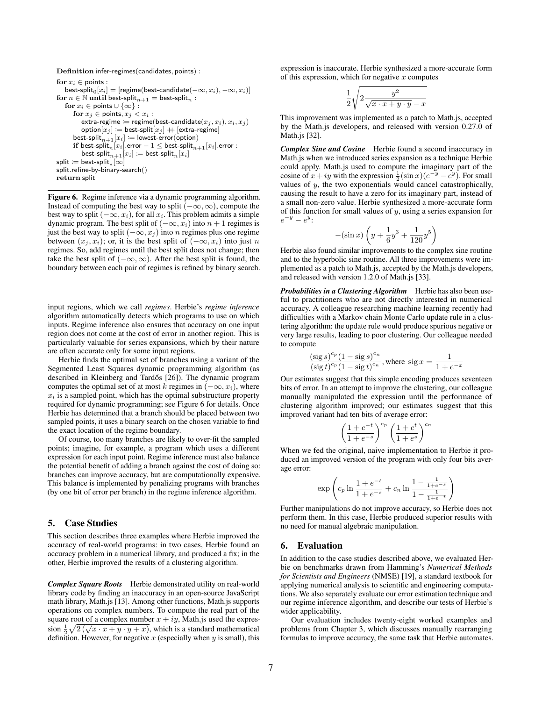Definition infer-regimes(candidates, points) :

for  $x_i \in \text{points}$ :  $\mathsf{best}\text{-}\mathsf{split}_0[x_i] = [\mathsf{regime}(\mathsf{best}\text{-}\mathsf{candidate}(-\infty, x_i), -\infty, x_i)]$ for  $n \in \mathbb{N}$  until best-split $n+1}$  = best-split $n$ : for  $x_i \in \text{points} \cup \{\infty\}$ : for  $x_j \in \text{points}, x_j < x_i$ : extra-regime := regime(best-candidate $(x_j, x_i), x_i, x_j$ )  $\text{option}[x_j] := \text{best-split}[x_j] + [\text{extra-regime}]$ best-split $_{n+1}[x_i] :=$  lowest-error(option)  $\textbf{if } \textsf{best-split}_n[x_i].\textsf{error} - 1 \leq \textsf{best-split}_{n+1}[x_i].\textsf{error}: \\$  $\mathsf{best-split}_{n+1}[x_i] \coloneqq \mathsf{best-split}_{n}[x_i]$  $\mathsf{split} \coloneqq \mathsf{best\text{-}split}_*[\infty]$ split.refine-by-binary-search() return split

<span id="page-6-2"></span>Figure 6. Regime inference via a dynamic programming algorithm. Instead of computing the best way to split  $(-\infty, \infty)$ , compute the best way to split  $(-\infty, x_i)$ , for all  $x_i$ . This problem admits a simple dynamic program. The best split of  $(-\infty, x_i)$  into  $n + 1$  regimes is just the best way to split  $(-\infty, x_j)$  into n regimes plus one regime between  $(x_i, x_i)$ ; or, it is the best split of  $(-\infty, x_i)$  into just n regimes. So, add regimes until the best split does not change; then take the best split of  $(-\infty, \infty)$ . After the best split is found, the boundary between each pair of regimes is refined by binary search.

input regions, which we call *regimes*. Herbie's *regime inference* algorithm automatically detects which programs to use on which inputs. Regime inference also ensures that accuracy on one input region does not come at the cost of error in another region. This is particularly valuable for series expansions, which by their nature are often accurate only for some input regions.

Herbie finds the optimal set of branches using a variant of the Segmented Least Squares dynamic programming algorithm (as described in Kleinberg and Tardős [[26\]](#page-10-14)). The dynamic program computes the optimal set of at most k regimes in  $(-\infty, x_i)$ , where  $x_i$  is a sampled point, which has the optimal substructure property required for dynamic programming; see Figure [6](#page-6-2) for details. Once Herbie has determined that a branch should be placed between two sampled points, it uses a binary search on the chosen variable to find the exact location of the regime boundary.

Of course, too many branches are likely to over-fit the sampled points; imagine, for example, a program which uses a different expression for each input point. Regime inference must also balance the potential benefit of adding a branch against the cost of doing so: branches can improve accuracy, but are computationally expensive. This balance is implemented by penalizing programs with branches (by one bit of error per branch) in the regime inference algorithm.

## <span id="page-6-0"></span>5. Case Studies

This section describes three examples where Herbie improved the accuracy of real-world programs: in two cases, Herbie found an accuracy problem in a numerical library, and produced a fix; in the other, Herbie improved the results of a clustering algorithm.

*Complex Square Roots* Herbie demonstrated utility on real-world library code by finding an inaccuracy in an open-source JavaScript math library, Math.js [\[13\]](#page-10-15). Among other functions, Math.js supports operations on complex numbers. To compute the real part of the square root of a complex number  $x + iy$ , Math.js used the expression  $\frac{1}{2}\sqrt{2(\sqrt{x \cdot x + y \cdot y + x)}}$ , which is a standard mathematical definition. However, for negative  $x$  (especially when  $y$  is small), this expression is inaccurate. Herbie synthesized a more-accurate form of this expression, which for negative  $x$  computes

$$
\frac{1}{2}\sqrt{2\frac{y^2}{\sqrt{x\cdot x+y\cdot y}-x}}
$$

This improvement was implemented as a patch to Math.js, accepted by the Math.js developers, and released with version 0.27.0 of Math.js [\[32\]](#page-10-16).

*Complex Sine and Cosine* Herbie found a second inaccuracy in Math.js when we introduced series expansion as a technique Herbie could apply. Math.js used to compute the imaginary part of the cosine of  $x + iy$  with the expression  $\frac{1}{2}(\sin x)(e^{-y} - e^{y})$ . For small values of  $y$ , the two exponentials would cancel catastrophically, causing the result to have a zero for its imaginary part, instead of a small non-zero value. Herbie synthesized a more-accurate form of this function for small values of  $y$ , using a series expansion for  $e^{-y} - e^{y}$ :

$$
-(\sin x)\left(y+\frac{1}{6}y^3+\frac{1}{120}y^5\right)
$$

Herbie also found similar improvements to the complex sine routine and to the hyperbolic sine routine. All three improvements were implemented as a patch to Math.js, accepted by the Math.js developers, and released with version 1.2.0 of Math.js [\[33\]](#page-10-17).

*Probabilities in a Clustering Algorithm* Herbie has also been useful to practitioners who are not directly interested in numerical accuracy. A colleague researching machine learning recently had difficulties with a Markov chain Monte Carlo update rule in a clustering algorithm: the update rule would produce spurious negative or very large results, leading to poor clustering. Our colleague needed to compute

$$
\frac{(\text{sig } s)^{c_p} (1 - \text{sig } s)^{c_n}}{(\text{sig } t)^{c_p} (1 - \text{sig } t)^{c_n}}, \text{where } \text{sig } x = \frac{1}{1 + e^{-x}}
$$

Our estimates suggest that this simple encoding produces seventeen bits of error. In an attempt to improve the clustering, our colleague manually manipulated the expression until the performance of clustering algorithm improved; our estimates suggest that this improved variant had ten bits of average error:

$$
\left(\frac{1+e^{-t}}{1+e^{-s}}\right)^{c_p} \left(\frac{1+e^{t}}{1+e^{s}}\right)^{c_n}
$$

When we fed the original, naive implementation to Herbie it produced an improved version of the program with only four bits average error:

$$
\exp\left(c_p \ln \frac{1+e^{-t}}{1+e^{-s}} + c_n \ln \frac{1-\frac{1}{1+e^{-s}}}{1-\frac{1}{1+e^{-t}}}\right)
$$

Further manipulations do not improve accuracy, so Herbie does not perform them. In this case, Herbie produced superior results with no need for manual algebraic manipulation.

## <span id="page-6-1"></span>6. Evaluation

In addition to the case studies described above, we evaluated Herbie on benchmarks drawn from Hamming's *Numerical Methods for Scientists and Engineers* (NMSE) [\[19\]](#page-10-9), a standard textbook for applying numerical analysis to scientific and engineering computations. We also separately evaluate our error estimation technique and our regime inference algorithm, and describe our tests of Herbie's wider applicability.

Our evaluation includes twenty-eight worked examples and problems from Chapter 3, which discusses manually rearranging formulas to improve accuracy, the same task that Herbie automates.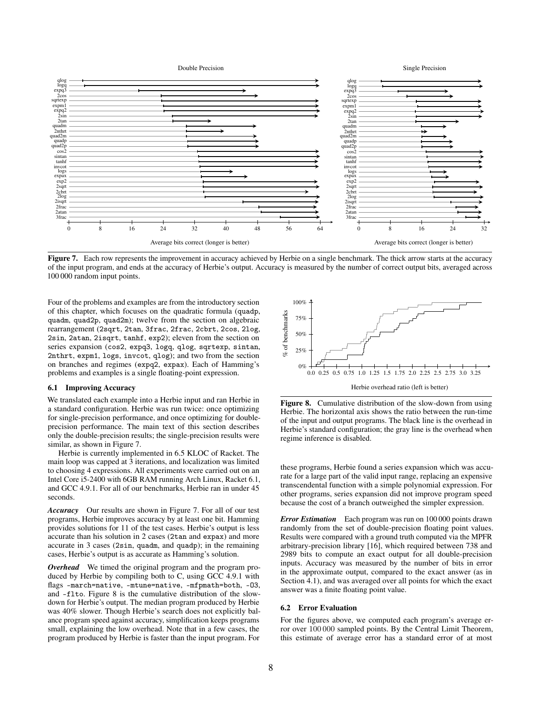

<span id="page-7-1"></span>Figure 7. Each row represents the improvement in accuracy achieved by Herbie on a single benchmark. The thick arrow starts at the accuracy of the input program, and ends at the accuracy of Herbie's output. Accuracy is measured by the number of correct output bits, averaged across 100 000 random input points.

Four of the problems and examples are from the introductory section of this chapter, which focuses on the quadratic formula (quadp, quadm, quad2p, quad2m); twelve from the section on algebraic rearrangement (2sqrt, 2tan, 3frac, 2frac, 2cbrt, 2cos, 2log, 2sin, 2atan, 2isqrt, tanhf, exp2); eleven from the section on series expansion (cos2, expq3, logq, qlog, sqrtexp, sintan, 2nthrt, expm1, logs, invcot, qlog); and two from the section on branches and regimes (expq2, expax). Each of Hamming's problems and examples is a single floating-point expression.

## <span id="page-7-0"></span>6.1 Improving Accuracy

We translated each example into a Herbie input and ran Herbie in a standard configuration. Herbie was run twice: once optimizing for single-precision performance, and once optimizing for doubleprecision performance. The main text of this section describes only the double-precision results; the single-precision results were similar, as shown in Figure [7.](#page-7-1)

Herbie is currently implemented in 6.5 KLOC of Racket. The main loop was capped at 3 iterations, and localization was limited to choosing 4 expressions. All experiments were carried out on an Intel Core i5-2400 with 6GB RAM running Arch Linux, Racket 6.1, and GCC 4.9.1. For all of our benchmarks, Herbie ran in under 45 seconds.

*Accuracy* Our results are shown in Figure [7.](#page-7-1) For all of our test programs, Herbie improves accuracy by at least one bit. Hamming provides solutions for 11 of the test cases. Herbie's output is less accurate than his solution in 2 cases (2tan and expax) and more accurate in 3 cases (2sin, quadm, and quadp); in the remaining cases, Herbie's output is as accurate as Hamming's solution.

*Overhead* We timed the original program and the program produced by Herbie by compiling both to C, using GCC 4.9.1 with flags -march=native, -mtune=native, -mfpmath=both, -O3, and -flto. Figure [8](#page-7-2) is the cumulative distribution of the slowdown for Herbie's output. The median program produced by Herbie was 40% slower. Though Herbie's search does not explicitly balance program speed against accuracy, simplification keeps programs small, explaining the low overhead. Note that in a few cases, the program produced by Herbie is faster than the input program. For



<span id="page-7-2"></span>Figure 8. Cumulative distribution of the slow-down from using Herbie. The horizontal axis shows the ratio between the run-time of the input and output programs. The black line is the overhead in Herbie's standard configuration; the gray line is the overhead when regime inference is disabled.

these programs, Herbie found a series expansion which was accurate for a large part of the valid input range, replacing an expensive transcendental function with a simple polynomial expression. For other programs, series expansion did not improve program speed because the cost of a branch outweighed the simpler expression.

*Error Estimation* Each program was run on 100 000 points drawn randomly from the set of double-precision floating point values. Results were compared with a ground truth computed via the MPFR arbitrary-precision library [\[16\]](#page-10-11), which required between 738 and 2989 bits to compute an exact output for all double-precision inputs. Accuracy was measured by the number of bits in error in the approximate output, compared to the exact answer (as in Section [4.1\)](#page-3-0), and was averaged over all points for which the exact answer was a finite floating point value.

#### 6.2 Error Evaluation

For the figures above, we computed each program's average error over 100 000 sampled points. By the Central Limit Theorem, this estimate of average error has a standard error of at most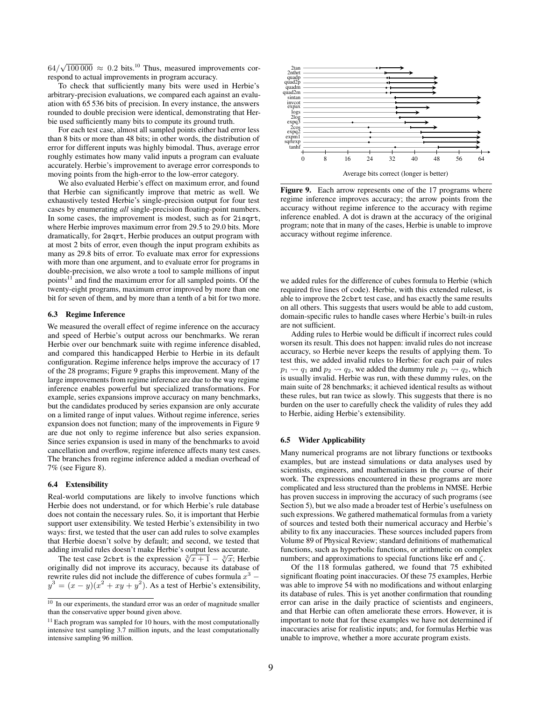$64/\sqrt{100\,000} \approx 0.2$  $64/\sqrt{100\,000} \approx 0.2$  $64/\sqrt{100\,000} \approx 0.2$  bits.<sup>10</sup> Thus, measured improvements correspond to actual improvements in program accuracy.

To check that sufficiently many bits were used in Herbie's arbitrary-precision evaluations, we compared each against an evaluation with 65 536 bits of precision. In every instance, the answers rounded to double precision were identical, demonstrating that Herbie used sufficiently many bits to compute its ground truth.

For each test case, almost all sampled points either had error less than 8 bits or more than 48 bits; in other words, the distribution of error for different inputs was highly bimodal. Thus, average error roughly estimates how many valid inputs a program can evaluate accurately. Herbie's improvement to average error corresponds to moving points from the high-error to the low-error category.

We also evaluated Herbie's effect on maximum error, and found that Herbie can significantly improve that metric as well. We exhaustively tested Herbie's single-precision output for four test cases by enumerating *all* single-precision floating-point numbers. In some cases, the improvement is modest, such as for 2isqrt, where Herbie improves maximum error from 29.5 to 29.0 bits. More dramatically, for 2sqrt, Herbie produces an output program with at most 2 bits of error, even though the input program exhibits as many as 29.8 bits of error. To evaluate max error for expressions with more than one argument, and to evaluate error for programs in double-precision, we also wrote a tool to sample millions of input points<sup>[11](#page-8-1)</sup> and find the maximum error for all sampled points. Of the twenty-eight programs, maximum error improved by more than one bit for seven of them, and by more than a tenth of a bit for two more.

## 6.3 Regime Inference

We measured the overall effect of regime inference on the accuracy and speed of Herbie's output across our benchmarks. We reran Herbie over our benchmark suite with regime inference disabled, and compared this handicapped Herbie to Herbie in its default configuration. Regime inference helps improve the accuracy of 17 of the 28 programs; Figure [9](#page-8-2) graphs this improvement. Many of the large improvements from regime inference are due to the way regime inference enables powerful but specialized transformations. For example, series expansions improve accuracy on many benchmarks, but the candidates produced by series expansion are only accurate on a limited range of input values. Without regime inference, series expansion does not function; many of the improvements in Figure [9](#page-8-2) are due not only to regime inference but also series expansion. Since series expansion is used in many of the benchmarks to avoid cancellation and overflow, regime inference affects many test cases. The branches from regime inference added a median overhead of 7% (see Figure [8\)](#page-7-2).

#### 6.4 Extensibility

Real-world computations are likely to involve functions which Herbie does not understand, or for which Herbie's rule database does not contain the necessary rules. So, it is important that Herbie support user extensibility. We tested Herbie's extensibility in two ways: first, we tested that the user can add rules to solve examples that Herbie doesn't solve by default; and second, we tested that adding invalid rules doesn't make Herbie's output less accurate.

The test case 2cbrt is the expression  $\sqrt[3]{x+1} - \sqrt[3]{x}$ ; Herbie The test case 2cbrt is the expression  $\sqrt[3]{x+1} - \sqrt[3]{x}$ ; Herbie originally did not improve its accuracy, because its database of rewrite rules did not include the difference of cubes formula  $x^3$  –  $y^3 = (x - y)(x^2 + xy + y^2)$ . As a test of Herbie's extensibility,



<span id="page-8-2"></span>Figure 9. Each arrow represents one of the 17 programs where regime inference improves accuracy; the arrow points from the accuracy without regime inference to the accuracy with regime inference enabled. A dot is drawn at the accuracy of the original program; note that in many of the cases, Herbie is unable to improve accuracy without regime inference.

we added rules for the difference of cubes formula to Herbie (which required five lines of code). Herbie, with this extended ruleset, is able to improve the 2cbrt test case, and has exactly the same results on all others. This suggests that users would be able to add custom, domain-specific rules to handle cases where Herbie's built-in rules are not sufficient.

Adding rules to Herbie would be difficult if incorrect rules could worsen its result. This does not happen: invalid rules do not increase accuracy, so Herbie never keeps the results of applying them. To test this, we added invalid rules to Herbie: for each pair of rules  $p_1 \rightarrow q_1$  and  $p_2 \rightarrow q_2$ , we added the dummy rule  $p_1 \rightarrow q_2$ , which is usually invalid. Herbie was run, with these dummy rules, on the main suite of 28 benchmarks; it achieved identical results as without these rules, but ran twice as slowly. This suggests that there is no burden on the user to carefully check the validity of rules they add to Herbie, aiding Herbie's extensibility.

#### 6.5 Wider Applicability

Many numerical programs are not library functions or textbooks examples, but are instead simulations or data analyses used by scientists, engineers, and mathematicians in the course of their work. The expressions encountered in these programs are more complicated and less structured than the problems in NMSE. Herbie has proven success in improving the accuracy of such programs (see Section [5\)](#page-6-0), but we also made a broader test of Herbie's usefulness on such expressions. We gathered mathematical formulas from a variety of sources and tested both their numerical accuracy and Herbie's ability to fix any inaccuracies. These sources included papers from Volume 89 of Physical Review; standard definitions of mathematical functions, such as hyperbolic functions, or arithmetic on complex numbers; and approximations to special functions like erf and  $\zeta$ .

Of the 118 formulas gathered, we found that 75 exhibited significant floating point inaccuracies. Of these 75 examples, Herbie was able to improve 54 with no modifications and without enlarging its database of rules. This is yet another confirmation that rounding error can arise in the daily practice of scientists and engineers, and that Herbie can often ameliorate these errors. However, it is important to note that for these examples we have not determined if inaccuracies arise for realistic inputs; and, for formulas Herbie was unable to improve, whether a more accurate program exists.

<span id="page-8-0"></span><sup>&</sup>lt;sup>10</sup> In our experiments, the standard error was an order of magnitude smaller than the conservative upper bound given above.

<span id="page-8-1"></span> $11$  Each program was sampled for 10 hours, with the most computationally intensive test sampling 3.7 million inputs, and the least computationally intensive sampling 96 million.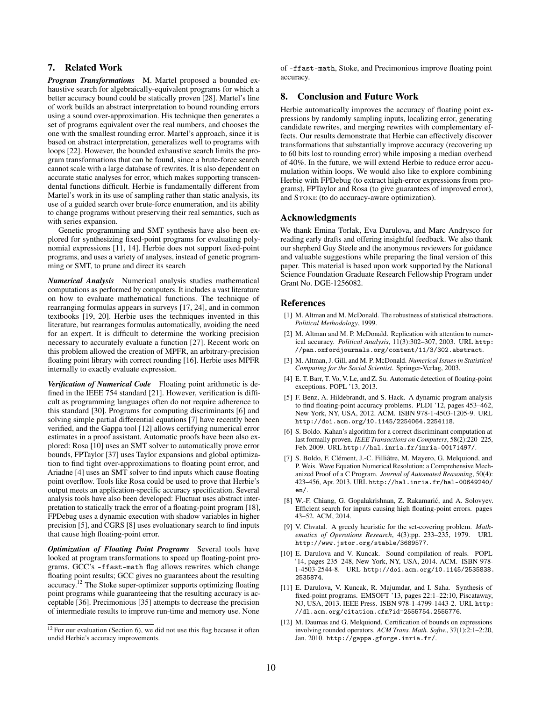# <span id="page-9-5"></span>7. Related Work

*Program Transformations* M. Martel proposed a bounded exhaustive search for algebraically-equivalent programs for which a better accuracy bound could be statically proven [\[28\]](#page-10-18). Martel's line of work builds an abstract interpretation to bound rounding errors using a sound over-approximation. His technique then generates a set of programs equivalent over the real numbers, and chooses the one with the smallest rounding error. Martel's approach, since it is based on abstract interpretation, generalizes well to programs with loops [\[22\]](#page-10-19). However, the bounded exhaustive search limits the program transformations that can be found, since a brute-force search cannot scale with a large database of rewrites. It is also dependent on accurate static analyses for error, which makes supporting transcendental functions difficult. Herbie is fundamentally different from Martel's work in its use of sampling rather than static analysis, its use of a guided search over brute-force enumeration, and its ability to change programs without preserving their real semantics, such as with series expansion.

Genetic programming and SMT synthesis have also been explored for synthesizing fixed-point programs for evaluating polynomial expressions [\[11,](#page-9-8) [14\]](#page-10-20). Herbie does not support fixed-point programs, and uses a variety of analyses, instead of genetic programming or SMT, to prune and direct its search

*Numerical Analysis* Numerical analysis studies mathematical computations as performed by computers. It includes a vast literature on how to evaluate mathematical functions. The technique of rearranging formulas appears in surveys [\[17,](#page-10-8) [24\]](#page-10-0), and in common textbooks [\[19,](#page-10-9) [20\]](#page-10-6). Herbie uses the techniques invented in this literature, but rearranges formulas automatically, avoiding the need for an expert. It is difficult to determine the working precision necessary to accurately evaluate a function [\[27\]](#page-10-10). Recent work on this problem allowed the creation of MPFR, an arbitrary-precision floating point library with correct rounding [\[16\]](#page-10-11). Herbie uses MPFR internally to exactly evaluate expression.

*Verification of Numerical Code* Floating point arithmetic is defined in the IEEE 754 standard [\[21\]](#page-10-21). However, verification is difficult as programming languages often do not require adherence to this standard [\[30\]](#page-10-22). Programs for computing discriminants [\[6\]](#page-9-3) and solving simple partial differential equations [\[7\]](#page-9-9) have recently been verified, and the Gappa tool [\[12\]](#page-9-10) allows certifying numerical error estimates in a proof assistant. Automatic proofs have been also explored: Rosa [\[10\]](#page-9-4) uses an SMT solver to automatically prove error bounds, FPTaylor [\[37\]](#page-10-23) uses Taylor expansions and global optimization to find tight over-approximations to floating point error, and Ariadne [\[4\]](#page-9-2) uses an SMT solver to find inputs which cause floating point overflow. Tools like Rosa could be used to prove that Herbie's output meets an application-specific accuracy specification. Several analysis tools have also been developed: Fluctuat uses abstract interpretation to statically track the error of a floating-point program [\[18\]](#page-10-24), FPDebug uses a dynamic execution with shadow variables in higher precision [\[5\]](#page-9-11), and CGRS [\[8\]](#page-9-12) uses evoluationary search to find inputs that cause high floating-point error.

*Optimization of Floating Point Programs* Several tools have looked at program transformations to speed up floating-point programs. GCC's -ffast-math flag allows rewrites which change floating point results; GCC gives no guarantees about the resulting accuracy.[12](#page-9-13) The Stoke super-optimizer supports optimizing floating point programs while guaranteeing that the resulting accuracy is acceptable [\[36\]](#page-10-12). Precimonious [\[35\]](#page-10-25) attempts to decrease the precision of intermediate results to improve run-time and memory use. None of -ffast-math, Stoke, and Precimonious improve floating point accuracy.

## <span id="page-9-6"></span>8. Conclusion and Future Work

Herbie automatically improves the accuracy of floating point expressions by randomly sampling inputs, localizing error, generating candidate rewrites, and merging rewrites with complementary effects. Our results demonstrate that Herbie can effectively discover transformations that substantially improve accuracy (recovering up to 60 bits lost to rounding error) while imposing a median overhead of 40%. In the future, we will extend Herbie to reduce error accumulation within loops. We would also like to explore combining Herbie with FPDebug (to extract high-error expressions from programs), FPTaylor and Rosa (to give guarantees of improved error), and STOKE (to do accuracy-aware optimization).

## Acknowledgments

We thank Emina Torlak, Eva Darulova, and Marc Andrysco for reading early drafts and offering insightful feedback. We also thank our shepherd Guy Steele and the anonymous reviewers for guidance and valuable suggestions while preparing the final version of this paper. This material is based upon work supported by the National Science Foundation Graduate Research Fellowship Program under Grant No. DGE-1256082.

## References

- <span id="page-9-0"></span>[1] M. Altman and M. McDonald. The robustness of statistical abstractions. *Political Methodology*, 1999.
- [2] M. Altman and M. P. McDonald. Replication with attention to numerical accuracy. *Political Analysis*, 11(3):302–307, 2003. URL [http:](http://pan.oxfordjournals.org/content/11/3/302.abstract) [//pan.oxfordjournals.org/content/11/3/302.abstract](http://pan.oxfordjournals.org/content/11/3/302.abstract).
- <span id="page-9-1"></span>[3] M. Altman, J. Gill, and M. P. McDonald. *Numerical Issues in Statistical Computing for the Social Scientist*. Springer-Verlag, 2003.
- <span id="page-9-2"></span>[4] E. T. Barr, T. Vo, V. Le, and Z. Su. Automatic detection of floating-point exceptions. POPL '13, 2013.
- <span id="page-9-11"></span>[5] F. Benz, A. Hildebrandt, and S. Hack. A dynamic program analysis to find floating-point accuracy problems. PLDI '12, pages 453–462, New York, NY, USA, 2012. ACM. ISBN 978-1-4503-1205-9. URL <http://doi.acm.org/10.1145/2254064.2254118>.
- <span id="page-9-3"></span>[6] S. Boldo. Kahan's algorithm for a correct discriminant computation at last formally proven. *IEEE Transactions on Computers*, 58(2):220–225, Feb. 2009. URL <http://hal.inria.fr/inria-00171497/>.
- <span id="page-9-9"></span>[7] S. Boldo, F. Clément, J.-C. Filliâtre, M. Mayero, G. Melquiond, and P. Weis. Wave Equation Numerical Resolution: a Comprehensive Mechanized Proof of a C Program. *Journal of Automated Reasoning*, 50(4): 423–456, Apr. 2013. URL [http://hal.inria.fr/hal-00649240/](http://hal.inria.fr/hal-00649240/en/) [en/](http://hal.inria.fr/hal-00649240/en/).
- <span id="page-9-12"></span>[8] W.-F. Chiang, G. Gopalakrishnan, Z. Rakamarić, and A. Solovyev. Efficient search for inputs causing high floating-point errors. pages 43–52. ACM, 2014.
- <span id="page-9-7"></span>[9] V. Chvatal. A greedy heuristic for the set-covering problem. *Mathematics of Operations Research*, 4(3):pp. 233–235, 1979. URL <http://www.jstor.org/stable/3689577>.
- <span id="page-9-4"></span>[10] E. Darulova and V. Kuncak. Sound compilation of reals. POPL '14, pages 235–248, New York, NY, USA, 2014. ACM. ISBN 978- 1-4503-2544-8. URL [http://doi.acm.org/10.1145/2535838.](http://doi.acm.org/10.1145/2535838.2535874) [2535874](http://doi.acm.org/10.1145/2535838.2535874).
- <span id="page-9-8"></span>[11] E. Darulova, V. Kuncak, R. Majumdar, and I. Saha. Synthesis of fixed-point programs. EMSOFT '13, pages 22:1–22:10, Piscataway, NJ, USA, 2013. IEEE Press. ISBN 978-1-4799-1443-2. URL [http:](http://dl.acm.org/citation.cfm?id=2555754.2555776) [//dl.acm.org/citation.cfm?id=2555754.2555776](http://dl.acm.org/citation.cfm?id=2555754.2555776).
- <span id="page-9-10"></span>[12] M. Daumas and G. Melquiond. Certification of bounds on expressions involving rounded operators. *ACM Trans. Math. Softw.*, 37(1):2:1–2:20, Jan. 2010. <http://gappa.gforge.inria.fr/>.

<span id="page-9-13"></span> $12$  For our evaluation (Section [6\)](#page-6-1), we did not use this flag because it often undid Herbie's accuracy improvements.